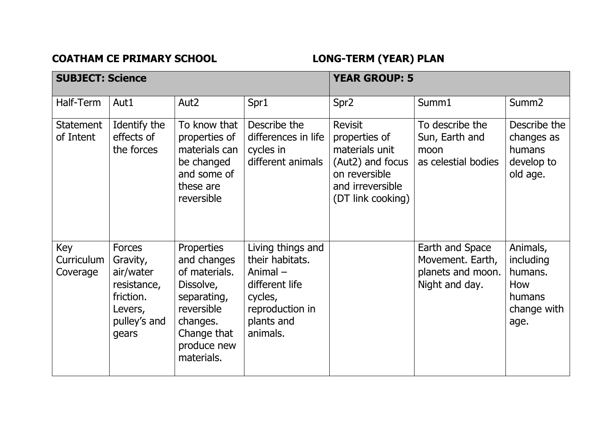COATHAM CE PRIMARY SCHOOL **LONG-TERM** (YEAR) PLAN

| <b>SUBJECT: Science</b>       |                                                                                                        |                                                                                                                                              | <b>YEAR GROUP: 5</b>                                                                                                         |                                                                                                                                 |                                                                            |                                                                          |
|-------------------------------|--------------------------------------------------------------------------------------------------------|----------------------------------------------------------------------------------------------------------------------------------------------|------------------------------------------------------------------------------------------------------------------------------|---------------------------------------------------------------------------------------------------------------------------------|----------------------------------------------------------------------------|--------------------------------------------------------------------------|
| Half-Term                     | Aut1                                                                                                   | Aut <sub>2</sub>                                                                                                                             | Spr1                                                                                                                         | Spr <sub>2</sub>                                                                                                                | Summ1                                                                      | Summ <sub>2</sub>                                                        |
| <b>Statement</b><br>of Intent | Identify the<br>effects of<br>the forces                                                               | To know that<br>properties of<br>materials can<br>be changed<br>and some of<br>these are<br>reversible                                       | Describe the<br>differences in life<br>cycles in<br>different animals                                                        | <b>Revisit</b><br>properties of<br>materials unit<br>(Aut2) and focus<br>on reversible<br>and irreversible<br>(DT link cooking) | To describe the<br>Sun, Earth and<br>moon<br>as celestial bodies           | Describe the<br>changes as<br>humans<br>develop to<br>old age.           |
| Key<br>Curriculum<br>Coverage | <b>Forces</b><br>Gravity,<br>air/water<br>resistance,<br>friction.<br>Levers,<br>pulley's and<br>gears | Properties<br>and changes<br>of materials.<br>Dissolve,<br>separating,<br>reversible<br>changes.<br>Change that<br>produce new<br>materials. | Living things and<br>their habitats.<br>Animal $-$<br>different life<br>cycles,<br>reproduction in<br>plants and<br>animals. |                                                                                                                                 | Earth and Space<br>Movement. Earth,<br>planets and moon.<br>Night and day. | Animals,<br>including<br>humans.<br>How<br>humans<br>change with<br>age. |